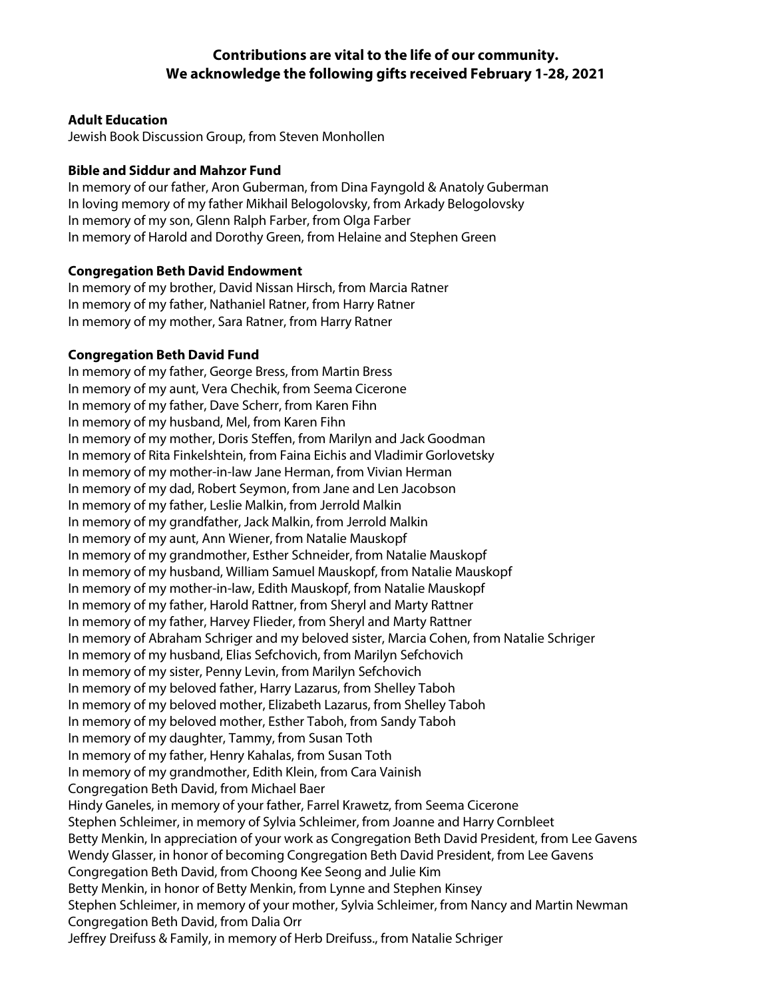# **Contributions are vital to the life of our community. We acknowledge the following gifts received February 1-28, 2021**

## **Adult Education**

Jewish Book Discussion Group, from Steven Monhollen

# **Bible and Siddur and Mahzor Fund**

In memory of our father, Aron Guberman, from Dina Fayngold & Anatoly Guberman In loving memory of my father Mikhail Belogolovsky, from Arkady Belogolovsky In memory of my son, Glenn Ralph Farber, from Olga Farber In memory of Harold and Dorothy Green, from Helaine and Stephen Green

#### **Congregation Beth David Endowment**

In memory of my brother, David Nissan Hirsch, from Marcia Ratner In memory of my father, Nathaniel Ratner, from Harry Ratner In memory of my mother, Sara Ratner, from Harry Ratner

#### **Congregation Beth David Fund**

In memory of my father, George Bress, from Martin Bress In memory of my aunt, Vera Chechik, from Seema Cicerone In memory of my father, Dave Scherr, from Karen Fihn In memory of my husband, Mel, from Karen Fihn In memory of my mother, Doris Steffen, from Marilyn and Jack Goodman In memory of Rita Finkelshtein, from Faina Eichis and Vladimir Gorlovetsky In memory of my mother-in-law Jane Herman, from Vivian Herman In memory of my dad, Robert Seymon, from Jane and Len Jacobson In memory of my father, Leslie Malkin, from Jerrold Malkin In memory of my grandfather, Jack Malkin, from Jerrold Malkin In memory of my aunt, Ann Wiener, from Natalie Mauskopf In memory of my grandmother, Esther Schneider, from Natalie Mauskopf In memory of my husband, William Samuel Mauskopf, from Natalie Mauskopf In memory of my mother-in-law, Edith Mauskopf, from Natalie Mauskopf In memory of my father, Harold Rattner, from Sheryl and Marty Rattner In memory of my father, Harvey Flieder, from Sheryl and Marty Rattner In memory of Abraham Schriger and my beloved sister, Marcia Cohen, from Natalie Schriger In memory of my husband, Elias Sefchovich, from Marilyn Sefchovich In memory of my sister, Penny Levin, from Marilyn Sefchovich In memory of my beloved father, Harry Lazarus, from Shelley Taboh In memory of my beloved mother, Elizabeth Lazarus, from Shelley Taboh In memory of my beloved mother, Esther Taboh, from Sandy Taboh In memory of my daughter, Tammy, from Susan Toth In memory of my father, Henry Kahalas, from Susan Toth In memory of my grandmother, Edith Klein, from Cara Vainish Congregation Beth David, from Michael Baer Hindy Ganeles, in memory of your father, Farrel Krawetz, from Seema Cicerone Stephen Schleimer, in memory of Sylvia Schleimer, from Joanne and Harry Cornbleet Betty Menkin, In appreciation of your work as Congregation Beth David President, from Lee Gavens Wendy Glasser, in honor of becoming Congregation Beth David President, from Lee Gavens Congregation Beth David, from Choong Kee Seong and Julie Kim Betty Menkin, in honor of Betty Menkin, from Lynne and Stephen Kinsey Stephen Schleimer, in memory of your mother, Sylvia Schleimer, from Nancy and Martin Newman Congregation Beth David, from Dalia Orr Jeffrey Dreifuss & Family, in memory of Herb Dreifuss., from Natalie Schriger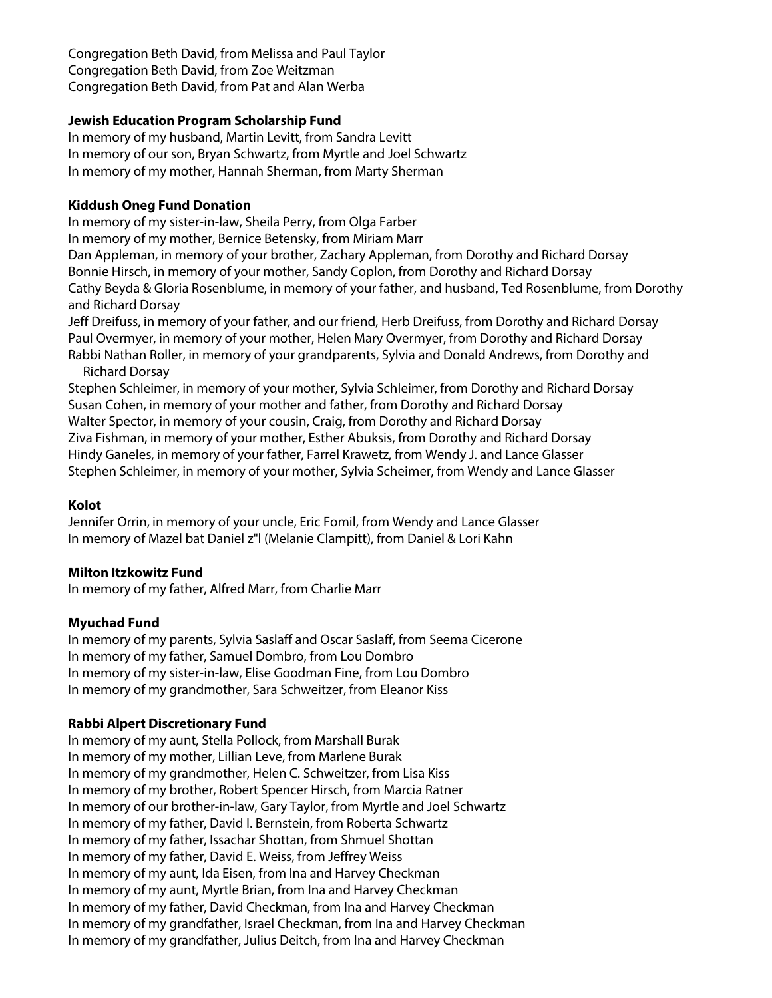Congregation Beth David, from Melissa and Paul Taylor Congregation Beth David, from Zoe Weitzman Congregation Beth David, from Pat and Alan Werba

# **Jewish Education Program Scholarship Fund**

In memory of my husband, Martin Levitt, from Sandra Levitt In memory of our son, Bryan Schwartz, from Myrtle and Joel Schwartz In memory of my mother, Hannah Sherman, from Marty Sherman

#### **Kiddush Oneg Fund Donation**

In memory of my sister-in-law, Sheila Perry, from Olga Farber In memory of my mother, Bernice Betensky, from Miriam Marr Dan Appleman, in memory of your brother, Zachary Appleman, from Dorothy and Richard Dorsay Bonnie Hirsch, in memory of your mother, Sandy Coplon, from Dorothy and Richard Dorsay Cathy Beyda & Gloria Rosenblume, in memory of your father, and husband, Ted Rosenblume, from Dorothy and Richard Dorsay Jeff Dreifuss, in memory of your father, and our friend, Herb Dreifuss, from Dorothy and Richard Dorsay Paul Overmyer, in memory of your mother, Helen Mary Overmyer, from Dorothy and Richard Dorsay Rabbi Nathan Roller, in memory of your grandparents, Sylvia and Donald Andrews, from Dorothy and Richard Dorsay Stephen Schleimer, in memory of your mother, Sylvia Schleimer, from Dorothy and Richard Dorsay Susan Cohen, in memory of your mother and father, from Dorothy and Richard Dorsay

Walter Spector, in memory of your cousin, Craig, from Dorothy and Richard Dorsay Ziva Fishman, in memory of your mother, Esther Abuksis, from Dorothy and Richard Dorsay Hindy Ganeles, in memory of your father, Farrel Krawetz, from Wendy J. and Lance Glasser Stephen Schleimer, in memory of your mother, Sylvia Scheimer, from Wendy and Lance Glasser

# **Kolot**

Jennifer Orrin, in memory of your uncle, Eric Fomil, from Wendy and Lance Glasser In memory of Mazel bat Daniel z"l (Melanie Clampitt), from Daniel & Lori Kahn

#### **Milton Itzkowitz Fund**

In memory of my father, Alfred Marr, from Charlie Marr

# **Myuchad Fund**

In memory of my parents, Sylvia Saslaff and Oscar Saslaff, from Seema Cicerone In memory of my father, Samuel Dombro, from Lou Dombro In memory of my sister-in-law, Elise Goodman Fine, from Lou Dombro In memory of my grandmother, Sara Schweitzer, from Eleanor Kiss

# **Rabbi Alpert Discretionary Fund**

In memory of my aunt, Stella Pollock, from Marshall Burak In memory of my mother, Lillian Leve, from Marlene Burak In memory of my grandmother, Helen C. Schweitzer, from Lisa Kiss In memory of my brother, Robert Spencer Hirsch, from Marcia Ratner In memory of our brother-in-law, Gary Taylor, from Myrtle and Joel Schwartz In memory of my father, David I. Bernstein, from Roberta Schwartz In memory of my father, Issachar Shottan, from Shmuel Shottan In memory of my father, David E. Weiss, from Jeffrey Weiss In memory of my aunt, Ida Eisen, from Ina and Harvey Checkman In memory of my aunt, Myrtle Brian, from Ina and Harvey Checkman In memory of my father, David Checkman, from Ina and Harvey Checkman In memory of my grandfather, Israel Checkman, from Ina and Harvey Checkman In memory of my grandfather, Julius Deitch, from Ina and Harvey Checkman